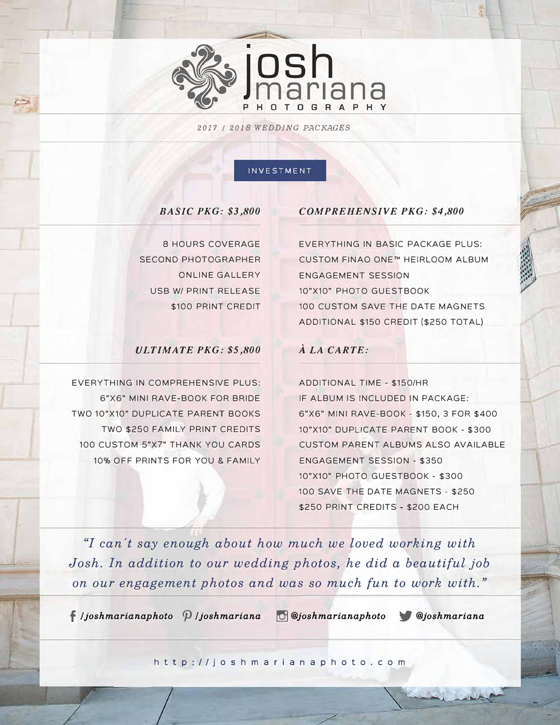

*2017 I 2018 WEDDING PACKAGES*

#### INVESTMENT

### *BASIC PKG: \$3,800*

8 HOURS COVERAGE SECOND PHOTOGRAPHER ONLINE GALLERY USB W/ PRINT RELEASE \$100 PRINT CREDIT

### *ULTIMATE PKG: \$5,800*

EVERYTHING IN COMPREHENSIVE PLUS: 6"X6" MINI RAVE-BOOK FOR BRIDE TWO 10"X10" DUPLICATE PARENT BOOKS TWO \$250 FAMILY PRINT CREDITS 100 CUSTOM 5"X7" THANK YOU CARDS 10% OFF PRINTS FOR YOU & FAMILY

# *COMPREHENSIVE PKG: \$4,800*

EVERYTHING IN BASIC PACKAGE PLUS: CUSTOM FINAO ONE™ HEIRLOOM ALBUM ENGAGEMENT SESSION 10"X10" PHOTO GUESTBOOK 100 CUSTOM SAVE THE DATE MAGNETS ADDITIONAL \$150 CREDIT (\$250 TOTAL)

## *A LA CARTE:*

ADDITIONAL TIME - \$150/HR IF ALBUM IS INCLUDED IN PACKAGE: 6"X6" MINI RAVE-BOOK - \$150, 3 FOR \$400 10"X10" DUPLICATE PARENT BOOK - \$300 CUSTOM PARENT ALBUMS ALSO AVAILABLE ENGAGEMENT SESSION - \$350 10"X10" PHOTO GUESTBOOK - \$300 100 SAVE THE DATE MAGNETS - \$250 \$250 PRINT CREDITS - \$200 EACH

*"I can't say enough about how much we loved working with Josh. In addition to our wedding photos, he did a beautiful job on our engagement photos and was so much fun to work with."* 

f *I joshmarianaphoto <p I joshmariana � @Joshmarianaphoto* 'f# *@Joshmariana* 

http://jo shm aria n aphoto . c om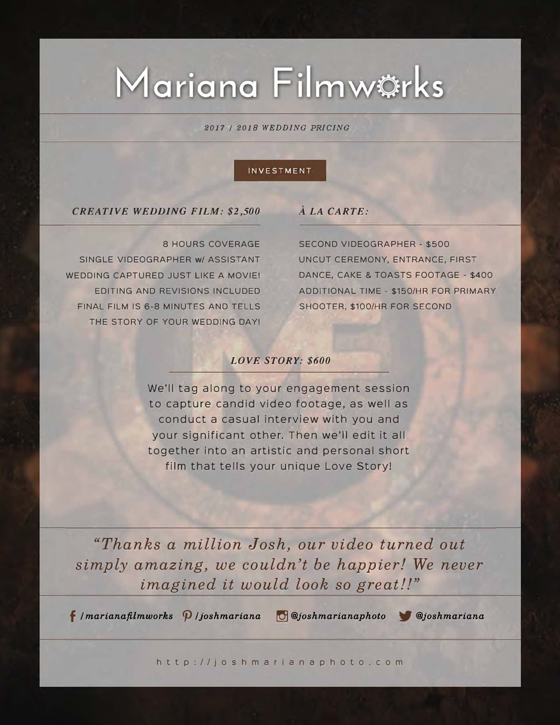# Mariana Filmwörks

*2017 I 2018 WEDDING PRICING* 

### INVESTMENT

## *CREATIVE WEDDING FILM: \$2,500*

8 HOURS COVERAGE

SINGLE VIDEOGRAPHER w/ ASSISTANT WEDDING CAPTURED JUST LIKE A MOVIE! EDITING AND REVISIONS INCLUDED FINAL FILM IS 6-8 MINUTES AND TELLS THE STORY OF YOUR WEDDING DAY!

# *A LA CARTE:*

SECOND VIDEOGRAPHER - \$500 UNCUT CEREMONY, ENTRANCE, FIRST DANCE, CAKE & TOASTS FOOTAGE - \$400 ADDITIONAL TIME - \$150/HR FOR PRIMARY SHOOTER, \$100/HR FOR SECOND

## *LOVE STORY: \$600*

We'll tag along to your engagement session to capture candid video footage, as well as conduct a casual interview with you and your significant other. Then we'll edit it all together into an artistic and personal short film that tells your unique Love Story!

*"Thanks a million Josh, our video turned out simply amazing, we couldn't be happier! We never imagined it would look so great!!"* 

f *I marianafilmworks <p I joshmariana � @Joshmarianaphoto 'tJI @Joshmariana* 

http://jo shm aria n aphoto . c om